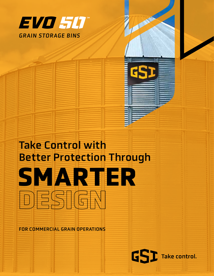

# Take Control with Better Protection Through

**GSI** Take control.

**SMARTER**

FOR COMMERCIAL GRAIN OPERATIONS

**DESIGN**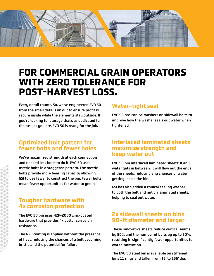

### **FOR COMMERCIAL GRAIN OPERATORS WITH ZERO TOLERANCE FOR POST-HARVEST LOSS.**

Every detail counts. So, we've engineered EVO 50 from the small details on out to ensure profit is secure inside while the elements stay outside. If you're looking for storage that's as dedicated to the task as you are, EVO 50 is ready for the job.

#### Optimized bolt pattern for fewer bolts and fewer holes

We've maximized strength at each connection and needed less bolts to do it. EVO 50 uses metric bolts in a staggered pattern. The metric bolts provide more bearing capacity allowing GSI to use fewer to construct the bin. Fewer bolts mean fewer opportunities for water to get in.

#### Tougher hardware with 4x corrosion protection

The EVO 50 bin uses NZF-2000 zinc-coated hardware that provides 4x better corrosion resistance.

The NZF coating is applied without the presence of heat, reducing the chances of a bolt becoming brittle and the potential for failure.

#### Water-tight seal

EVO 50 has conical washers on sidewall bolts to improve how the washer seals out water when tightened.

#### Interlaced laminated sheets maximize strength and keep water out

EVO 50 bin interlaced laminated sheets: If any water gets in between, it will flow out the ends of the sheets, reducing any chances of water getting inside the bin.

GSI has also added a conical sealing washer to both the bolt and nut on laminated sheets, helping to seal out water.

#### 2x sidewall sheets on bins 90-ft diameter and larger

These innovative sheets reduce vertical seams by 50% and the number of bolts by up to 50%, resulting in significantly fewer opportunities for water infiltration.

The EVO 50 steel bin is available on stiffened bins 11 rings and taller, from 15' to 156' dia.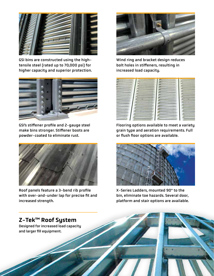

GSI bins are constructed using the hightensile steel (rated up to 70,000 psi) for higher capacity and superior protection.



GSI's stiffener profile and 2-gauge steel make bins stronger. Stiffener boots are powder-coated to eliminate rust.



Roof panels feature a 3-bend rib profile with over-and-under lap for precise fit and increased strength.



Wind ring and bracket design reduces bolt holes in stiffeners, resulting in increased load capacity.



Flooring options available to meet a variety grain type and aeration requirements. Full or flush floor options are available.



X-Series Ladders, mounted 90° to the bin, eliminate toe hazards. Several door, platform and stair options are available.

#### Z-Tek™ Roof System

Designed for increased load capacity and larger fill equipment.